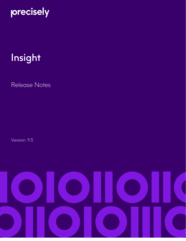# precisely

# Insight

Release Notes

Version: 9.5

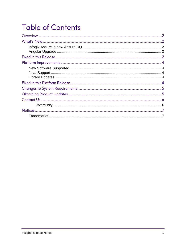# **Table of Contents**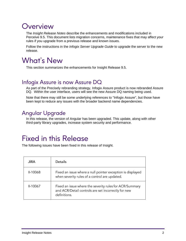### <span id="page-2-0"></span>Overview

The *Insight Release Notes* describe the enhancements and modifications included in Perceive 9.5. This document lists migration concerns, maintenance fixes that may affect your rules if you upgrade from a previous release and known issues.

Follow the instructions in the *Infogix Server Upgrade Guide* to upgrade the server to the new release.

### <span id="page-2-1"></span>What's New

This section summarizes the enhancements for Insight Release 9.5.

#### <span id="page-2-2"></span>Infogix Assure is now Assure DQ

As part of the Precisely rebranding strategy, Infogix Assure product is now rebranded Assure DQ. Within the user interface, users will see the new Assure DQ naming being used.

Note that there may still be some underlying references to "Infogix Assure", but those have been kept to reduce any issues with the broader backend name dependencies.

#### <span id="page-2-3"></span>Angular Upgrade

In this release, the version of Angular has been upgraded. This update, along with other third-party library upgrades, increase system security and performance.

### <span id="page-2-4"></span>Fixed in this Release

The following issues have been fixed in this release of Insight.

| <b>JIRA</b> | Details                                                                                                                        |
|-------------|--------------------------------------------------------------------------------------------------------------------------------|
| $II-10068$  | Fixed an issue where a null pointer exception is displayed<br>when severity rules of a control are updated.                    |
| II-10067    | Fixed an issue where the severity rules for ACR/Summary<br>and ACR/Detail controls are set incorrectly for new<br>definitions. |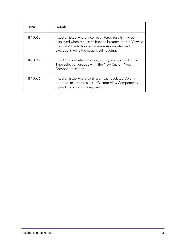| <b>JIRA</b> | <b>Details</b>                                                                                                                                                                                                       |
|-------------|----------------------------------------------------------------------------------------------------------------------------------------------------------------------------------------------------------------------|
| $II-10063$  | Fixed an issue where incorrect filtered results may be<br>displayed when the user clicks the breadcrumbs in Views ><br>Control Views to toggle between Aggregates and<br>Executions while the page is still loading. |
| $II-10162$  | Fixed an issue where a value, empty, is displayed in the<br>Type selection dropdown in the New Custom View<br>Component screen.                                                                                      |
| II-10056    | Fixed an issue where sorting on Last Updated Column<br>returned incorrect results in Custom View Component ><br>Open Custom View component.                                                                          |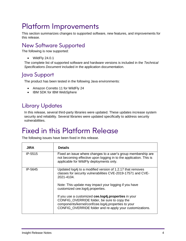## <span id="page-4-0"></span>Platform Improvements

This section summarizes changes to supported software, new features, and improvements for this release.

#### <span id="page-4-1"></span>New Software Supported

The following is now supported:

• WildFly 24.0.1

The complete list of supported software and hardware versions is included in the *Technical Specifications Document* included in the application documentation.

#### <span id="page-4-2"></span>Java Support

The product has been tested in the following Java environments:

- Amazon Corretto 11 for WildFly 24
- IBM SDK for IBM WebSphere

#### <span id="page-4-3"></span>Library Updates

In this release, several third-party libraries were updated. These updates increase system security and reliability. Several libraries were updated specifically to address security vulnerabilities.

## <span id="page-4-4"></span>Fixed in this Platform Release

The following issues have been fixed in this release.

| <b>JIRA</b> | <b>Details</b>                                                                                                                                                                                                         |
|-------------|------------------------------------------------------------------------------------------------------------------------------------------------------------------------------------------------------------------------|
| IP-5515     | Fixed an issue where changes to a user's group membership are<br>not becoming effective upon logging in to the application. This is<br>applicable for WildFly deployments only.                                        |
| IP-5645     | Updated log4j to a modified version of 1.2.17 that removes<br>classes for security vulnerabilities CVE-2019-17571 and CVE-<br>2021-4104                                                                                |
|             | Note: This update may impact your logging if you have<br>customized cee.log4j.properties.                                                                                                                              |
|             | If you use a customized cee.log4j.properties in your<br>CONFIG_OVERRIDE folder, be sure to copy the<br>components/kernel/conf/cee.log4j.properties to your<br>CONFIG_OVERRIDE folder and re-apply your customizations. |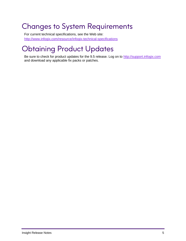# <span id="page-5-0"></span>Changes to System Requirements

For current technical specifications, see the Web site: [http://www.infogix.com/resource/infogix-technical-specifications](http://www.infogix.com/resource/infogix-technical-specifications/)

# <span id="page-5-1"></span>Obtaining Product Updates

Be sure to check for product updates for the 9.5 release. Log on to [http://support.infogix.com](http://support.infogix.com/) and download any applicable fix packs or patches.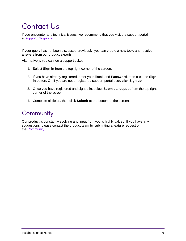# <span id="page-6-0"></span>Contact Us

If you encounter any technical issues, we recommend that you visit the support portal at [support.infogix.com.](https://support.infogix.com/hc/en-us)

If your query has not been discussed previously, you can create a new topic and receive answers from our product experts.

Alternatively, you can log a support ticket:

- 1. Select **Sign in** from the top right corner of the screen.
- 2. If you have already registered, enter your **Email** and **Password**, then click the **Sign in** button. Or, if you are not a registered support portal user, click **Sign up.**
- 3. Once you have registered and signed in, select **Submit a request** from the top right corner of the screen.
- 4. Complete all fields, then click **Submit** at the bottom of the screen.

#### <span id="page-6-1"></span>**Community**

Our product is constantly evolving and input from you is highly valued. If you have any suggestions, please contact the product team by submitting a feature request on the [Community.](https://support.infogix.com/hc/en-us/community/topics)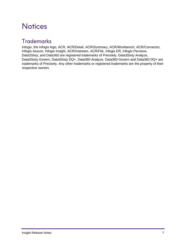### <span id="page-7-0"></span>**Notices**

#### <span id="page-7-1"></span>**Trademarks**

Infogix, the Infogix logo, ACR, ACR/Detail, ACR/Summary, ACR/Workbench, ACR/Connector, Infogix Assure, Infogix Insight, ACR/Instream, ACR/File, Infogix ER, Infogix Perceive, Data3Sixty, and Data360 are registered trademarks of Precisely. Data3Sixty Analyze, Data3Sixty Govern, Data3Sixty DQ+, Data360 Analyze, Data360 Govern and Data360 DQ+ are trademarks of Precisely. Any other trademarks or registered trademarks are the property of their respective owners.